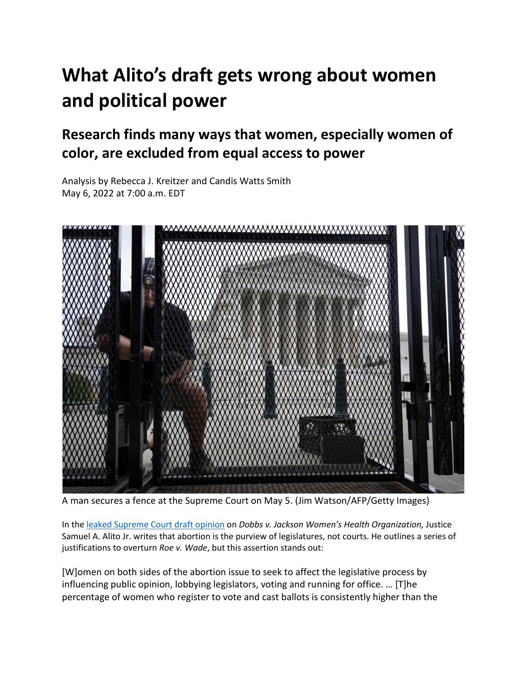# **What Alito's draft gets wrong about women and political power**

## **Research finds many ways that women, especially women of color, are excluded from equal access to power**

Analysis by Rebecca J. Kreitzer and Candis Watts Smith May 6, 2022 at 7:00 a.m. EDT



A man secures a fence at the Supreme Court on May 5. (Jim Watson/AFP/Getty Images)

In th[e leaked Supreme Court draft opinion](https://www.politico.com/news/2022/05/02/supreme-court-abortion-draft-opinion-00029473) on *Dobbs v. Jackson Women's Health Organization,* Justice Samuel A. Alito Jr. writes that abortion is the purview of legislatures, not courts. He outlines a series of justifications to overturn *Roe v. Wade*, but this assertion stands out:

[W]omen on both sides of the abortion issue to seek to affect the legislative process by influencing public opinion, lobbying legislators, voting and running for office. … [T]he percentage of women who register to vote and cast ballots is consistently higher than the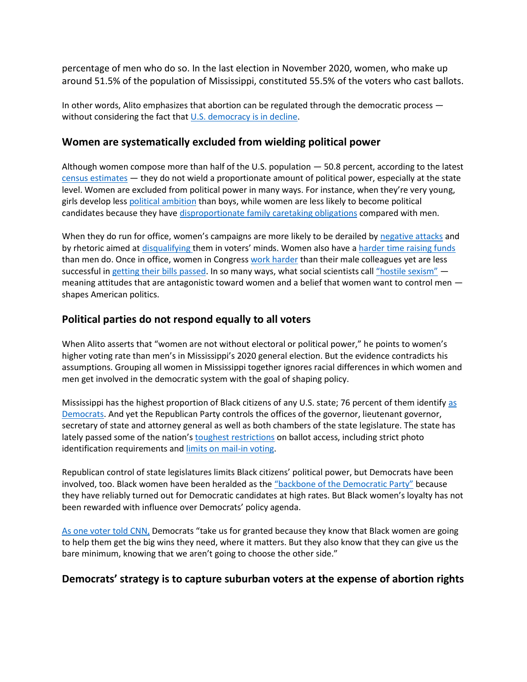percentage of men who do so. In the last election in November 2020, women, who make up around 51.5% of the population of Mississippi, constituted 55.5% of the voters who cast ballots.

In other words, Alito emphasizes that abortion can be regulated through the democratic process without considering the fact tha[t U.S. democracy is in decline.](https://www.penguinrandomhouse.com/books/562246/how-democracies-die-by-steven-levitsky-and-daniel-ziblatt/)

#### **Women are systematically excluded from wielding political power**

Although women compose more than half of the U.S. population — 50.8 percent, according to the latest [census estimates](https://www.census.gov/quickfacts/fact/table/US/PST045221) — they do not wield a proportionate amount of political power, especially at the state level. Women are excluded from political power in many ways. For instance, when they're very young, girls develop less [political ambition](https://www.washingtonpost.com/news/monkey-cage/wp/2015/01/19/the-gender-gap-in-political-ambition-starts-at-an-amazingly-young-age/?itid=lk_inline_manual_7) than boys, while women are less likely to become political candidates because they hav[e disproportionate family caretaking obligations](https://www.washingtonpost.com/news/monkey-cage/wp/2015/07/01/want-more-women-in-politics-divvy-up-household-chores-more-equally/?itid=lk_inline_manual_7) compared with men.

When they do run for office, women's campaigns are more likely to be derailed by [negative attacks](https://www.washingtonpost.com/news/monkey-cage/wp/2017/08/25/campaign-attacks-may-hurt-women-candidates-more-than-men-especially-on-womens-issues-heres-our-evidence/?itid=lk_inline_manual_10) and by rhetoric aimed at [disqualifying](https://www.washingtonpost.com/news/monkey-cage/wp/2016/07/27/heres-how-we-talk-about-manhood-and-womanhood-during-a-presidential-race/?itid=lk_inline_manual_10) them in voters' minds. Women also have a harder time [raising funds](https://www.washingtonpost.com/news/monkey-cage/wp/2017/06/20/this-explains-why-there-are-so-few-republican-women-in-congress/?itid=lk_inline_manual_10) than men do. Once in office, women in Congress [work harder](https://www.washingtonpost.com/news/monkey-cage/wp/2018/03/08/do-women-in-congress-work-harder-than-their-male-colleagues/?itid=lk_inline_manual_10) than their male colleagues yet are less successful i[n getting their bills passed.](https://www.washingtonpost.com/news/monkey-cage/wp/2019/01/23/how-the-record-number-of-women-legislators-will-and-wont-change-congress/?itid=lk_inline_manual_10) In so many ways, what social scientists call ["hostile sexism"](https://www.washingtonpost.com/news/monkey-cage/wp/2018/10/02/who-supports-kavanaugh-after-last-weeks-angry-hearings-our-research-helps-explain/?itid=lk_inline_manual_10) meaning attitudes that are antagonistic toward women and a belief that women want to control men shapes American politics.

#### **Political parties do not respond equally to all voters**

When Alito asserts that "women are not without electoral or political power," he points to women's higher voting rate than men's in Mississippi's 2020 general election. But the evidence contradicts his assumptions. Grouping all women in Mississippi together ignores racial differences in which women and men get involved in the democratic system with the goal of shaping policy.

Mississippi has the highest proportion of Black citizens of any U.S. state; 76 percent of them identify [as](https://www.pewresearch.org/religion/religious-landscape-study/compare/party-affiliation/by/racial-and-ethnic-composition/among/state/mississippi/)  [Democrats.](https://www.pewresearch.org/religion/religious-landscape-study/compare/party-affiliation/by/racial-and-ethnic-composition/among/state/mississippi/) And yet the Republican Party controls the offices of the governor, lieutenant governor, secretary of state and attorney general as well as both chambers of the state legislature. The state has lately passed some of the nation's [toughest restrictions](https://www.washingtonpost.com/opinions/2021/05/24/no-need-new-gop-voter-suppression-mississippi-were-already-there/?itid=lk_inline_manual_15) on ballot access, including strict photo identification requirements and **limits on mail-in voting**.

Republican control of state legislatures limits Black citizens' political power, but Democrats have been involved, too. Black women have been heralded as the ["backbone of the Democratic Party"](https://www.cnn.com/2020/10/21/politics/black-women-voters-michigan/index.html) because they have reliably turned out for Democratic candidates at high rates. But Black women's loyalty has not been rewarded with influence over Democrats' policy agenda.

[As one voter told CNN,](https://www.cnn.com/2020/10/21/politics/black-women-voters-michigan/index.html) Democrats "take us for granted because they know that Black women are going to help them get the big wins they need, where it matters. But they also know that they can give us the bare minimum, knowing that we aren't going to choose the other side."

#### **Democrats' strategy is to capture suburban voters at the expense of abortion rights**